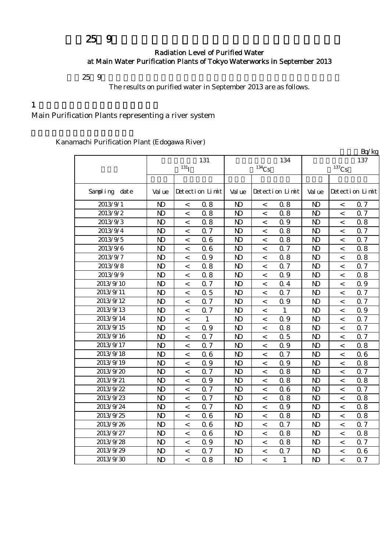# $259$

#### Radiation Level of Purified Water at Main Water Purification Plants of Tokyo Waterworks in September 2013

 $259$ 

The results on purified water in September 2013 are as follows.

 $\mathbf{p}$   $\mathbf{q}$ 

#### $1$

## Main Purification Plants representing a river system

Kanamachi Purification Plant (Edogawa River)

|               |                |                          |                 |                |          |                 |                |                          | Bq/kg           |  |  |
|---------------|----------------|--------------------------|-----------------|----------------|----------|-----------------|----------------|--------------------------|-----------------|--|--|
|               | 131            |                          |                 |                |          | 134             | 137            |                          |                 |  |  |
|               |                | 131 <sub>I</sub>         |                 |                | $134$ Cs |                 |                | $^{137}\mathrm{Cs}$      |                 |  |  |
|               |                |                          |                 |                |          |                 |                |                          |                 |  |  |
| Sampling date | Val ue         |                          | Detection Limit | Val ue         |          | Detection Limit | Val ue         |                          | Detection Limit |  |  |
| 2013/9/1      | $\mathbf{D}$   | $\,<\,$                  | 0.8             | N <sub>D</sub> | $\,<\,$  | 0.8             | N <sub>D</sub> | $\,<$                    | 0.7             |  |  |
| 2013/9/2      | $\mathbf{D}$   | $\,<\,$                  | 0.8             | $\mathbf{D}$   | $\,<\,$  | 0.8             | $\mathbf{D}$   | $\,<\,$                  | Q 7             |  |  |
| 2013/9/3      | $\mathbf{D}$   | $\,<\,$                  | 0.8             | $\mathbf{D}$   | $\,<\,$  | 0.9             | $\mathbf{N}$   | $\,<\,$                  | 0.8             |  |  |
| 2013/9/4      | $\mathbf{D}$   | $\,<\,$                  | 0.7             | N <sub>D</sub> | $\,<$    | 0.8             | $\mathbf{N}$   | $\,<\,$                  | 0.7             |  |  |
| 2013/9/5      | $\mathbf{D}$   | $\,<\,$                  | 06              | N <sub>D</sub> | $\,<$    | 0.8             | N <sub>D</sub> | $\,<\,$                  | 0.7             |  |  |
| 2013/9/6      | $\mathbf{D}$   | $\,<\,$                  | 06              | $\mathbf{N}$   | $\,<\,$  | 0.7             | $\mathbf{N}$   | $\,<\,$                  | 0.8             |  |  |
| 2013/9/7      | $\mathbf{D}$   | $\overline{\phantom{a}}$ | Q 9             | $\mathbf{N}$   | $\,<\,$  | 0.8             | $\mathbf{N}$   | $\overline{\phantom{a}}$ | 0.8             |  |  |
| 2013/9/8      | $\mathbf{D}$   | $\,<\,$                  | 0.8             | $\mathbf{N}$   | $\,<\,$  | 0.7             | $\mathbf{N}$   | $\,<\,$                  | 0.7             |  |  |
| 2013/9/9      | $\mathbf{D}$   | $\,<\,$                  | 0.8             | N <sub>D</sub> | $\,<\,$  | 0.9             | $\mathbf{D}$   | $\,<\,$                  | 0.8             |  |  |
| 2013/9/10     | $\mathbf{D}$   | $\,<\,$                  | 0.7             | $\mathbf{N}$   | $\,<\,$  | 0.4             | $\mathbf{N}$   | $\,<\,$                  | 0.9             |  |  |
| 2013/9/11     | $\mathbf{D}$   | $\,<\,$                  | 0.5             | N <sub>D</sub> | $\,<\,$  | 0.7             | $\mathbf{N}$   | $\,<\,$                  | 0.7             |  |  |
| 2013/9/12     | $\mathbf{D}$   | $\lt$                    | 0.7             | N <sub>D</sub> | $\,<$    | 0.9             | $\mathbf{D}$   | $\,<$                    | 0.7             |  |  |
| 2013/9/13     | $\mathbf{D}$   | $\,<\,$                  | 0.7             | $\mathbf{N}$   | $\,<$    | 1               | $\mathbf{D}$   | $\,<\,$                  | 0.9             |  |  |
| 2013/9/14     | N <sub>D</sub> | $\,<$                    | 1               | N <sub>D</sub> | $\,<$    | 0.9             | N <sub>D</sub> | $\,<\,$                  | 0.7             |  |  |
| 2013/9/15     | $\mathbf{D}$   | $\,<\,$                  | 0.9             | N <sub>D</sub> | $\,<\,$  | 0.8             | $\mathbf{D}$   | $\,<\,$                  | 0.7             |  |  |
| 2013/9/16     | $\mathbf{D}$   | $\,<\,$                  | 0.7             | $\mathbf{N}$   | $\,<\,$  | 0.5             | $\mathbf{D}$   | $\,<\,$                  | 0.7             |  |  |
| 2013/9/17     | $\mathbf{D}$   | $\,<\,$                  | 0.7             | $\mathbf{N}$   | $\,<\,$  | Q 9             | $\mathbf{N}$   | $\,<\,$                  | 0.8             |  |  |
| 2013/9/18     | $\mathbf{D}$   | $\,<\,$                  | 06              | N <sub>D</sub> | $\,<\,$  | 0.7             | $\mathbf{N}$   | $\,<\,$                  | 06              |  |  |
| 2013/9/19     | $\mathbf{D}$   | $\lt$                    | 0.9             | N <sub>D</sub> | $\,<\,$  | 0.9             | $\mathbf{D}$   | $\,<\,$                  | 0.8             |  |  |
| 2013/9/20     | $\mathbf{D}$   | $\,<\,$                  | 0.7             | $\mathbf{D}$   | $\,<\,$  | 0.8             | $\mathbf{D}$   | $\overline{\phantom{a}}$ | 0.7             |  |  |
| 2013/9/21     | $\mathbf{D}$   | $\,<\,$                  | 0.9             | N <sub>D</sub> | $\,<$    | 0.8             | $\mathbf{D}$   | $\,<\,$                  | 0.8             |  |  |
| 2013/9/22     | $\mathbf{D}$   | $\,<\,$                  | 0.7             | N <sub>D</sub> | $\,<\,$  | 0.6             | $\mathbf{D}$   | $\,<\,$                  | 0.7             |  |  |
| 2013/9/23     | $\mathbf{D}$   | $\,<$                    | 0.7             | N <sub>D</sub> | $\,<$    | 0.8             | $\mathbf{D}$   | $\,<\,$                  | 0.8             |  |  |
| 2013/9/24     | $\mathbf{D}$   | $\,<\,$                  | 0.7             | N <sub>D</sub> | $\,<\,$  | 0.9             | N <sub>D</sub> | $\,<\,$                  | 0.8             |  |  |
| 2013/9/25     | $\mathbf{D}$   | $\,<\,$                  | 06              | N <sub>D</sub> | $\,<\,$  | 0.8             | $\mathbf{D}$   | $\,<\,$                  | 0.8             |  |  |
| 2013/9/26     | $\mathbf{D}$   | $\,<\,$                  | 06              | N <sub>D</sub> | $\,<\,$  | 0.7             | $\mathbf{D}$   | $\,<\,$                  | 0.7             |  |  |
| 2013/9/27     | $\mathbf{D}$   | $\,<\,$                  | 06              | N <sub>D</sub> | $\,<\,$  | 0.8             | $\mathbf{N}$   | $\,<\,$                  | 0.8             |  |  |
| 2013/9/28     | $\mathbf{D}$   | $\lt$                    | 0.9             | N <sub>D</sub> | $\,<\,$  | 0.8             | $\mathbf{N}$   | $\,<\,$                  | 0.7             |  |  |
| 2013/9/29     | $\mathbf{D}$   | $\lt$                    | 0.7             | N <sub>D</sub> | $\,<\,$  | 0.7             | $\mathbf{N}$   | $\,<\,$                  | 0.6             |  |  |
| 2013/9/30     | N <sub>D</sub> | $\overline{\phantom{a}}$ | 0.8             | N <sub>D</sub> | $\,<\,$  | $\mathbf{1}$    | N <sub>D</sub> | $\lt$                    | 0.7             |  |  |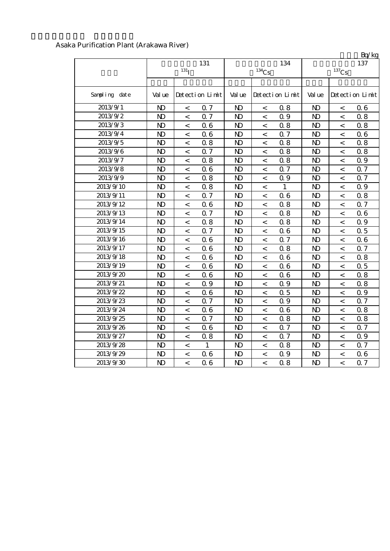### Asaka Purification Plant (Arakawa River)

|               |                  |                          |                 |                |                          |                 |                |                          | Bq/kg           |  |
|---------------|------------------|--------------------------|-----------------|----------------|--------------------------|-----------------|----------------|--------------------------|-----------------|--|
|               |                  | 131                      |                 |                | 134                      | 137             |                |                          |                 |  |
|               | 131 <sub>l</sub> |                          |                 |                | $134$ Cs                 |                 | $137$ Cs       |                          |                 |  |
|               |                  |                          |                 |                |                          |                 |                |                          |                 |  |
| Sampling date | Val ue           |                          | Detection Limit | Val ue         |                          | Detection Limit | Val ue         |                          | Detection Limit |  |
| 2013/9/1      | N <sub>D</sub>   | $\,<\,$                  | 0.7             | N <sub>D</sub> | $\,<\,$                  | 0.8             | $\mathbf{D}$   | $\,<\,$                  | 06              |  |
| 2013/9/2      | $\mathbf{D}$     | $\,<\,$                  | 0.7             | $\mathbf{D}$   | $\,<\,$                  | 0.9             | $\mathbf{N}$   | $\,<\,$                  | 0.8             |  |
| 2013/9/3      | $\mathbf{D}$     | $\lt$                    | 06              | N <sub>D</sub> | $\,<\,$                  | 0.8             | $\mathbf{D}$   | $\,<\,$                  | 0.8             |  |
| 2013/9/4      | $\mathbf{D}$     | $\lt$                    | 06              | N <sub>D</sub> | $\,<\,$                  | 0.7             | $\mathbf{N}$   | $\,<\,$                  | 06              |  |
| 2013/9/5      | $\mathbf{D}$     | $\,<\,$                  | 0.8             | N <sub>D</sub> | $\,<\,$                  | 0.8             | $\mathbf{D}$   | $\,<\,$                  | 0.8             |  |
| 2013/9/6      | $\mathbf{D}$     | $\,<\,$                  | 0.7             | N <sub>D</sub> | $\,<\,$                  | 0.8             | $\mathbf{D}$   | $\,<\,$                  | 0.8             |  |
| 2013/9/7      | $\mathbf{D}$     | $\,<\,$                  | 0.8             | N <sub>D</sub> | $\,<\,$                  | 0.8             | $\mathbf{D}$   | $\,<\,$                  | 0.9             |  |
| 2013/9/8      | $\mathbf{D}$     | $\,<\,$                  | 06              | N <sub>D</sub> | $\,<\,$                  | 0.7             | $\mathbf{D}$   | $\,<\,$                  | 0.7             |  |
| 2013/9/9      | $\mathbf{D}$     | $\,<$                    | 0.8             | N <sub>D</sub> | $\,<$                    | 0.9             | $\mathbf{N}$   | $\,<$                    | 0.7             |  |
| 2013/9/10     | $\mathbf{D}$     | $\lt$                    | 0.8             | N <sub>D</sub> | $\,<\,$                  | $\mathbf{1}$    | $\mathbf{D}$   | $\,<\,$                  | 0.9             |  |
| 2013/9/11     | $\mathbf{D}$     | $\,<\,$                  | 0.7             | N <sub>D</sub> | $\,<\,$                  | 0.6             | $\mathbf{D}$   | $\,<\,$                  | 0.8             |  |
| 2013/9/12     | $\mathbf{D}$     | $\,<\,$                  | 06              | N <sub>D</sub> | $\,<\,$                  | 0.8             | $\mathbf{D}$   | $\,<\,$                  | 0.7             |  |
| 2013/9/13     | $\mathbf{D}$     | $\,<\,$                  | 0.7             | N <sub>D</sub> | $\,<\,$                  | 0.8             | $\mathbf{D}$   | $\,<\,$                  | 06              |  |
| 2013/9/14     | $\mathbf{D}$     | $\lt$                    | 0.8             | $\mathbf{N}$   | $\lt$                    | 0.8             | $\mathbf{N}$   | $\,<\,$                  | 0.9             |  |
| 2013/9/15     | $\mathbf{D}$     | $\,<\,$                  | 0.7             | $\mathbf{N}$   | $\,<$                    | 0.6             | $\mathbf{N}$   | $\,<\,$                  | 0.5             |  |
| 2013/9/16     | $\mathbf{D}$     | $\overline{\phantom{0}}$ | 06              | N <sub>D</sub> | $\overline{\phantom{0}}$ | 0.7             | $\mathbf{D}$   | $\,<$                    | 06              |  |
| 2013/9/17     | $\mathbf{D}$     | $\,<\,$                  | 06              | N <sub>D</sub> | $\lt$                    | 0.8             | $\mathbf{N}$   | $\,<\,$                  | 0.7             |  |
| 2013/9/18     | $\mathbf{D}$     | $\,<\,$                  | 06              | $\mathbf{D}$   | $\,<\,$                  | 0.6             | $\mathbf{D}$   | $\,<\,$                  | 0.8             |  |
| 2013/9/19     | $\mathbf{D}$     | $\lt$                    | 06              | $\mathbf{D}$   | $\,<\,$                  | 0.6             | $\mathbf{N}$   | $\,<\,$                  | 0.5             |  |
| 2013/9/20     | $\mathbf{D}$     | $\,<\,$                  | 06              | $\mathbf{D}$   | $\,<\,$                  | 0.6             | $\mathbf{D}$   | $\,<\,$                  | 0.8             |  |
| 2013/9/21     | $\mathbf{D}$     | $\,<\,$                  | 0.9             | N <sub>D</sub> | $\,<\,$                  | 0.9             | $\mathbf{D}$   | $\,<\,$                  | 0.8             |  |
| 2013/9/22     | $\mathbf{D}$     | $\,<\,$                  | 06              | N <sub>D</sub> | $\,<\,$                  | 0.5             | $\mathbf{N}$   | $\,<$                    | 0.9             |  |
| 2013/9/23     | $\mathbf{D}$     | $\,<\,$                  | 0.7             | N <sub>D</sub> | $\,<\,$                  | 0.9             | $\mathbf{D}$   | $\,<\,$                  | 0.7             |  |
| 2013/9/24     | $\mathbf{D}$     | $\,<\,$                  | 06              | N <sub>D</sub> | $\,<\,$                  | 0.6             | N <sub>D</sub> | $\,<\,$                  | 0.8             |  |
| 2013/9/25     | $\mathbf{D}$     | $\,<\,$                  | 0.7             | N <sub>D</sub> | $\,<\,$                  | 0.8             | $\mathbf{D}$   | $\,<\,$                  | 0.8             |  |
| 2013/9/26     | $\mathbf{D}$     | $\,<\,$                  | 06              | N <sub>D</sub> | $\,<\,$                  | 0.7             | $\mathbf{D}$   | $\,<\,$                  | 0.7             |  |
| 2013/9/27     | $\mathbf{D}$     | $\,<\,$                  | 0.8             | N <sub>D</sub> | $\,<\,$                  | 0.7             | $\mathbf{N}$   | $\,<\,$                  | 0.9             |  |
| 2013/9/28     | $\mathbf{D}$     | $\,<\,$                  | $\mathbf{1}$    | $\mathbf{D}$   | $\,<\,$                  | 0.8             | $\mathbf{N}$   | $\,<\,$                  | 0.7             |  |
| 2013/9/29     | $\mathbf{D}$     | $\overline{\phantom{0}}$ | 06              | N <sub>D</sub> | $\,<\,$                  | 0.9             | $\mathbf{D}$   | $\overline{\phantom{a}}$ | 0.6             |  |
| 2013/9/30     | $\mathbf{D}$     | $\overline{\phantom{a}}$ | 06              | N <sub>D</sub> | $\overline{\phantom{a}}$ | 0.8             | $\mathbf{D}$   | $\overline{\phantom{a}}$ | 0.7             |  |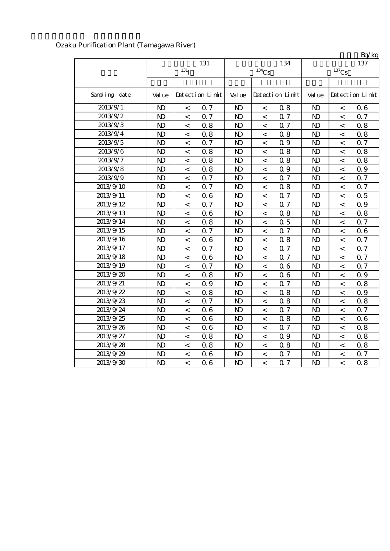| Ozaku Purification Plant (Tamagawa River) |  |
|-------------------------------------------|--|
|-------------------------------------------|--|

|               |                  |                          |                 |                |                          |                 |                     |                          | Bq/kg           |  |
|---------------|------------------|--------------------------|-----------------|----------------|--------------------------|-----------------|---------------------|--------------------------|-----------------|--|
|               |                  | 131                      |                 |                | 134                      | 137             |                     |                          |                 |  |
|               | 131 <sub>I</sub> |                          |                 |                | $134$ Cs                 |                 | $^{137}\mathrm{Cs}$ |                          |                 |  |
|               |                  |                          |                 |                |                          |                 |                     |                          |                 |  |
| Sampling date | Val ue           |                          | Detection Limit | Val ue         |                          | Detection Limit | Val ue              |                          | Detection Limit |  |
| 2013/9/1      | $\mathbf{D}$     | $\,<\,$                  | 0.7             | N <sub>D</sub> | $\,<\,$                  | 0.8             | N <sub>D</sub>      | $\,<\,$                  | 06              |  |
| 2013/9/2      | $\mathbf{D}$     | $\,<$                    | 0.7             | $\mathbf{D}$   | $\,<\,$                  | 0.7             | $\mathbf{N}$        | $\,<\,$                  | 0.7             |  |
| 2013/9/3      | $\mathbf{D}$     | $\,<\,$                  | 0.8             | $\mathbf{D}$   | $\,<\,$                  | 0.7             | N <sub>D</sub>      | $\,<\,$                  | 0.8             |  |
| 2013/9/4      | $\mathbf{D}$     | $\overline{\phantom{a}}$ | 0.8             | $\mathbf{D}$   | $\,<\,$                  | 0.8             | $\mathbf{N}$        | $\,<\,$                  | 0.8             |  |
| 2013/9/5      | N <sub>D</sub>   | $\,<\,$                  | Q 7             | $\mathbf{D}$   | $\,<\,$                  | 0.9             | N <sub>D</sub>      | $\lt$                    | 0.7             |  |
| 2013/9/6      | $\mathbf{D}$     | $\,<\,$                  | 0.8             | $\mathbf{D}$   | $\,<\,$                  | 0.8             | $\mathbf{D}$        | $\,<$                    | 0.8             |  |
| 2013/9/7      | $\mathbf{D}$     | $\,<\,$                  | 0.8             | N <sub>D</sub> | $\,<\,$                  | 0.8             | N <sub>D</sub>      | $\,<\,$                  | 0.8             |  |
| 2013/9/8      | $\mathbf{D}$     | $\,<$                    | 0.8             | $\mathbf{D}$   | $\,<$                    | 0.9             | $\mathbf{N}$        | $\,<\,$                  | Q 9             |  |
| 2013/9/9      | $\mathbf{D}$     | $\,<\,$                  | 0.7             | N <sub>D</sub> | $\,<\,$                  | 0.7             | N <sub>D</sub>      | $\,<\,$                  | 0.7             |  |
| 2013/9/10     | $\mathbf{D}$     | $\,<\,$                  | 0.7             | N <sub>D</sub> | $\,<\,$                  | 0.8             | $\mathbf{N}$        | $\,<\,$                  | 0.7             |  |
| 2013/9/11     | $\mathbf{D}$     | $\,<\,$                  | 06              | $\mathbf{D}$   | $\,<\,$                  | 0.7             | $\mathbf{D}$        | $\,<\,$                  | 0.5             |  |
| 2013/9/12     | $\mathbf{D}$     | $\,<\,$                  | 0.7             | $\mathbf{D}$   | $\,<$                    | 0.7             | $\mathbf{D}$        | $\,<\,$                  | Q 9             |  |
| 2013/9/13     | $\mathbf{D}$     | $\,<\,$                  | 06              | $\mathbf{D}$   | $\,<\,$                  | 0.8             | N <sub>D</sub>      | $\,<\,$                  | 0.8             |  |
| 2013/9/14     | N <sub>D</sub>   | $\,<\,$                  | 0.8             | $\mathbf{D}$   | $\,<\,$                  | 0.5             | $\mathbf{D}$        | $\,<\,$                  | 0.7             |  |
| 2013/9/15     | $\mathbf{D}$     | $\,<\,$                  | 0.7             | $\mathbf{D}$   | $\overline{\phantom{a}}$ | 0.7             | $\mathbf{N}$        | $\overline{a}$           | 06              |  |
| 2013/9/16     | N <sub>D</sub>   | $\lt$                    | 06              | $\mathbf{D}$   | $\,<\,$                  | 0.8             | $\mathbf{D}$        | $\,<\,$                  | 0.7             |  |
| 2013/9/17     | $\mathbf{D}$     | $\,<\,$                  | 0.7             | $\mathbf{D}$   | $\,<\,$                  | 0.7             | $\mathbf{N}$        | $\,<\,$                  | 0.7             |  |
| 2013/9/18     | $\mathbf{D}$     | $\,<\,$                  | 06              | $\mathbf{D}$   | $\,<\,$                  | 0.7             | $\mathbf{D}$        | $\overline{\phantom{a}}$ | 0.7             |  |
| 2013/9/19     | $\mathbf{D}$     | $\,<\,$                  | 0.7             | $\mathbf{D}$   | $\,<\,$                  | 0.6             | $\mathbf{D}$        | $\,<\,$                  | 0.7             |  |
| 2013/9/20     | $\mathbf{D}$     | $\,<\,$                  | 0.8             | $\mathbf{D}$   | $\,<\,$                  | 0.6             | $\mathbf{N}$        | $\,<\,$                  | 0.9             |  |
| 2013/9/21     | $\mathbf{D}$     | $\,<\,$                  | 0.9             | $\mathbf{D}$   | $\,<\,$                  | 0.7             | N <sub>D</sub>      | $\,<\,$                  | 0.8             |  |
| 2013/9/22     | $\mathbf{D}$     | $\,<\,$                  | 0.8             | $\mathbf{D}$   | $\,<\,$                  | 0.8             | $\mathbf{D}$        | $\,<\,$                  | 0.9             |  |
| 2013/9/23     | $\mathbf{D}$     | $\,<\,$                  | 0.7             | $\mathbf{D}$   | $\,<\,$                  | 0.8             | N <sub>D</sub>      | $\,<\,$                  | 0.8             |  |
| 2013/9/24     | $\mathbf{D}$     | $\,<\,$                  | 06              | $\mathbf{D}$   | $\,<\,$                  | 0.7             | $\mathbf{D}$        | $\,<\,$                  | 0.7             |  |
| 2013/9/25     | $\mathbf{D}$     | $\,<\,$                  | 06              | $\mathbf{D}$   | $\,<\,$                  | 0.8             | $\mathbf{N}$        | $\,<\,$                  | 06              |  |
| 2013/9/26     | $\mathbf{D}$     | $\,<\,$                  | 06              | $\mathbf{D}$   | $\,<\,$                  | 0.7             | $\mathbf{N}$        | $\,<\,$                  | 0.8             |  |
| 2013/9/27     | $\mathbf{D}$     | $\overline{\phantom{a}}$ | 0.8             | $\mathbf{D}$   | $\,<\,$                  | 0.9             | $\mathbf{D}$        | $\,<\,$                  | 0.8             |  |
| 2013/9/28     | $\mathbf{D}$     | $\,<\,$                  | 0.8             | $\mathbf{D}$   | $\,<\,$                  | 0.8             | $\mathbf{N}$        | $\,<\,$                  | 0.8             |  |
| 2013/9/29     | $\mathbf{D}$     | $\,<\,$                  | 06              | $\mathbf{D}$   | $\,<\,$                  | 0.7             | $\mathbf{D}$        | $\,<\,$                  | 0.7             |  |
| 2013/9/30     | N <sub>D</sub>   | $\lt$                    | 06              | $\mathbf{D}$   | $\lt$                    | 0.7             | $\mathbf{D}$        | $\lt$                    | 0.8             |  |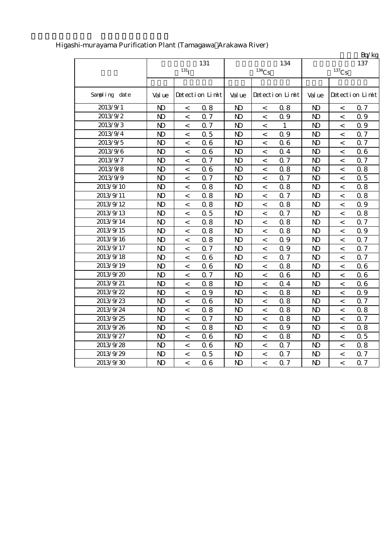|               |                |                          |                 |                |                          |                 |                |                          | Bq/kg           |
|---------------|----------------|--------------------------|-----------------|----------------|--------------------------|-----------------|----------------|--------------------------|-----------------|
|               |                |                          | 131             |                |                          | 134             |                |                          | 137             |
|               |                | 131 <sub>T</sub>         |                 |                | $^{134}\mathrm{Cs}$      |                 |                | $^{137}\mathrm{Cs}$      |                 |
|               |                |                          |                 |                |                          |                 |                |                          |                 |
| Sampling date | Val ue         |                          | Detection Limit | Val ue         |                          | Detection Limit | Val ue         |                          | Detection Limit |
| 2013/9/1      | N <sub>D</sub> | $\,<\,$                  | 0.8             | $\mathbf{D}$   | $\,<\,$                  | 0.8             | $\mathbf{N}$   | $\,<\,$                  | 0.7             |
| 2013/9/2      | $\mathbf{D}$   | $\,<\,$                  | 0.7             | $\mathbf{D}$   | $\,<\,$                  | 0.9             | $\mathbf{N}$   | $\,<\,$                  | Q 9             |
| 2013/9/3      | $\mathbf{D}$   | $\,<\,$                  | 0.7             | $\mathbf{D}$   | $\,<\,$                  | $\mathbf{1}$    | $\mathbf{N}$   | $\,<\,$                  | 0.9             |
| 2013/9/4      | $\mathbf{D}$   | $\,<\,$                  | 0.5             | N <sub>D</sub> | $\,<\,$                  | 0.9             | $\mathbf{D}$   | $\,<\,$                  | Q 7             |
| 2013/9/5      | $\mathbf{D}$   | $\,<\,$                  | 06              | $\mathbf{D}$   | $\,<\,$                  | 0.6             | $\mathbf{D}$   | $\,<\,$                  | Q 7             |
| 2013/9/6      | N <sub>D</sub> | $\overline{\phantom{a}}$ | 06              | $\mathbf{D}$   | $\lt$                    | 0.4             | $\mathbf{N}$   | $\overline{\phantom{a}}$ | 06              |
| 2013/9/7      | $\mathbf{D}$   | $\,<\,$                  | 0.7             | $\mathbf{D}$   | $\,<\,$                  | 0.7             | $\mathbf{N}$   | $\,<\,$                  | Q 7             |
| 2013/9/8      | N <sub>D</sub> | $\,<\,$                  | 06              | N <sub>D</sub> | $\,<\,$                  | 0.8             | N <sub>D</sub> | $\lt$                    | 0.8             |
| 2013/9/9      | $\mathbf{D}$   | $\,<\,$                  | 0.7             | $\mathbf{D}$   | $\,<\,$                  | 0.7             | $\mathbf{N}$   | $\,<\,$                  | 0.5             |
| 2013/9/10     | $\mathbf{D}$   | $\,<\,$                  | 0.8             | $\mathbf{D}$   | $\,<$                    | 0.8             | $\mathbf{N}$   | $\,<\,$                  | 0.8             |
| 2013/9/11     | $\mathbf{D}$   | $\overline{\phantom{a}}$ | 0.8             | N <sub>D</sub> | $\lt$                    | 0.7             | $\mathbf{D}$   | $\,<\,$                  | 0.8             |
| 2013/9/12     | $\mathbf{D}$   | $\,<\,$                  | 0.8             | N <sub>D</sub> | $\,<\,$                  | 0.8             | $\mathbf{D}$   | $\,<\,$                  | Q 9             |
| 2013/9/13     | $\mathbf{D}$   | $\,<\,$                  | 0.5             | N <sub>D</sub> | $\,<\,$                  | 0.7             | $\mathbf{N}$   | $\,<\,$                  | 0.8             |
| 2013/9/14     | $\mathbf{D}$   | $\,<\,$                  | 0.8             | $\mathbf{D}$   | $\,<\,$                  | 0.8             | $\mathbf{N}$   | $\,<\,$                  | 0.7             |
| 2013/9/15     | $\mathbf{D}$   | $\,<\,$                  | 0.8             | N <sub>D</sub> | $\,<\,$                  | 0.8             | $\mathbf{N}$   | $\,<\,$                  | 0.9             |
| 2013/9/16     | $\mathbf{D}$   | $\,<\,$                  | 0.8             | $\mathbf{D}$   | $\overline{\phantom{a}}$ | 0.9             | $\mathbf{N}$   | $\,<\,$                  | 0.7             |
| 2013/9/17     | N <sub>D</sub> | $\overline{\phantom{a}}$ | 0.7             | $\mathbf{D}$   | $\lt$                    | 0.9             | N <sub>D</sub> | $\,<$                    | Q 7             |
| 2013/9/18     | $\mathbf{D}$   | $\,<\,$                  | 06              | $\mathbf{D}$   | $\,<\,$                  | 0.7             | $\mathbf{N}$   | $\,<\,$                  | Q 7             |
| 2013/9/19     | $\mathbf{D}$   | $\,<\,$                  | 06              | $\mathbf{N}$   | $\prec$                  | 0.8             | $\mathbf{N}$   | $\,<\,$                  | 06              |
| 2013/9/20     | $\mathbf{D}$   | $\,<\,$                  | 0.7             | $\mathbf{D}$   | $\,<\,$                  | 0.6             | $\mathbf{D}$   | $\,<\,$                  | 06              |
| 2013/9/21     | $\mathbf{D}$   | $\,<\,$                  | 0.8             | $\mathbf{D}$   | $\lt$                    | 0.4             | $\mathbf{N}$   | $\,<\,$                  | 06              |
| 2013/9/22     | $\mathbf{D}$   | $\,<\,$                  | 0.9             | N <sub>D</sub> | $\,<\,$                  | 0.8             | $\mathbf{N}$   | $\,<\,$                  | 0.9             |
| 2013/9/23     | $\mathbf{D}$   | $\,<\,$                  | 06              | N <sub>D</sub> | $\,<\,$                  | 0.8             | $\mathbf{D}$   | $\,<\,$                  | 0.7             |
| 2013/9/24     | $\mathbf{D}$   | $\,<\,$                  | 0.8             | $\mathbf{D}$   | $\,<\,$                  | 0.8             | $\mathbf{D}$   | $\,<\,$                  | 0.8             |
| 2013/9/25     | $\mathbf{D}$   | $\,<\,$                  | 0.7             | $\mathbf{D}$   | $\,<\,$                  | 0.8             | $\mathbf{N}$   | $\,<\,$                  | 0.7             |
| 2013/9/26     | $\mathbf{D}$   | $\,<\,$                  | 0.8             | $\mathbf{D}$   | $\,<\,$                  | 0.9             | $\mathbf{N}$   | $\,<\,$                  | 0.8             |
| 2013/9/27     | $\mathbf{D}$   | $\overline{\phantom{a}}$ | 06              | $\mathbf{D}$   | $\,<\,$                  | 0.8             | $\mathbf{D}$   | $\,<\,$                  | 0.5             |
| 2013/9/28     | $\mathbf{D}$   | $\,<\,$                  | 06              | $\mathbf{D}$   | $\overline{\phantom{a}}$ | 0.7             | $\mathbf{N}$   | $\,<\,$                  | 0.8             |
| 2013/9/29     | $\mathbf{D}$   | $\prec$                  | 0.5             | $\mathbf{D}$   | $\lt$                    | 0.7             | $\mathbf{D}$   | $\,<\,$                  | 0.7             |
| 2013/9/30     | N <sub>D</sub> | $\overline{a}$           | 06              | $\mathbf{N}$   | $\overline{a}$           | 0.7             | $\mathbf{D}$   | $\overline{\phantom{a}}$ | 0.7             |

# Higashi-murayama Purification Plant (Tamagawa Arakawa River)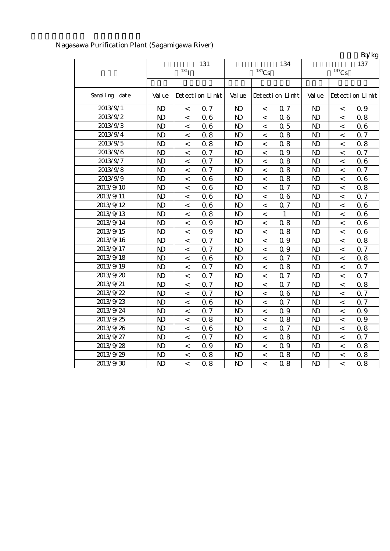|               |                |                          |                 |                |                          |                 |                     |                          | Bq/kg           |  |
|---------------|----------------|--------------------------|-----------------|----------------|--------------------------|-----------------|---------------------|--------------------------|-----------------|--|
|               |                |                          | 131             |                |                          | 134             | 137                 |                          |                 |  |
|               |                | 131 <sub>l</sub>         |                 |                | $^{134}\mathrm{Cs}$      |                 | $^{137}\mathrm{Cs}$ |                          |                 |  |
|               |                |                          |                 |                |                          |                 |                     |                          |                 |  |
| Sampling date | Val ue         |                          | Detection Limit | Val ue         |                          | Detection Limit | Val ue              |                          | Detection Limit |  |
| 2013/9/1      | N <sub>D</sub> | $\,<\,$                  | 0.7             | N <sub>D</sub> | $\,<\,$                  | 0.7             | N <sub>D</sub>      | $\,<\,$                  | 0.9             |  |
| 2013/9/2      | $\mathbf{D}$   | $\,<\,$                  | 06              | N <sub>D</sub> | $\,<\,$                  | 0.6             | $\mathbf{N}$        | $\,<\,$                  | 0.8             |  |
| 2013/9/3      | $\mathbf{D}$   | $\lt$                    | 06              | N <sub>D</sub> | $\,<\,$                  | 0.5             | $\mathbf{D}$        | $\overline{\phantom{a}}$ | 06              |  |
| 2013/9/4      | $\mathbf{N}$   | $\overline{\phantom{a}}$ | 0.8             | N <sub>D</sub> | $\,<\,$                  | 0.8             | N <sub>D</sub>      | $\overline{\phantom{a}}$ | 0.7             |  |
| 2013/9/5      | $\mathbf{D}$   | $\,<\,$                  | 0.8             | N <sub>D</sub> | $\,<\,$                  | 0.8             | $\mathbf{D}$        | $\,<\,$                  | 0.8             |  |
| 2013/9/6      | $\mathbf{D}$   | $\,<\,$                  | 0.7             | N <sub>D</sub> | $\,<\,$                  | 0.9             | $\mathbf{N}$        | $\,<\,$                  | 0.7             |  |
| 2013/9/7      | $\mathbf{D}$   | $\,<\,$                  | 0.7             | N <sub>D</sub> | $\,<\,$                  | 0.8             | $\mathbf{N}$        | $\,<\,$                  | 06              |  |
| 2013/9/8      | $\mathbf{D}$   | $\,<\,$                  | 0.7             | N <sub>D</sub> | $\,<\,$                  | 0.8             | $\mathbf{D}$        | $\,<\,$                  | 0.7             |  |
| 2013/9/9      | $\mathbf{D}$   | $\,<\,$                  | 06              | N <sub>D</sub> | $\,<\,$                  | 0.8             | $\mathbf{N}$        | $\,<\,$                  | 06              |  |
| 2013/9/10     | $\mathbf{N}$   | $\,<\,$                  | 06              | N <sub>D</sub> | $\lt$                    | 0.7             | $\mathbf{N}$        | $\,<\,$                  | 0.8             |  |
| 2013/9/11     | $\mathbf{D}$   | $\lt$                    | 06              | N <sub>D</sub> | $\,<\,$                  | 0.6             | $\mathbf{D}$        | $\,<\,$                  | 0.7             |  |
| 2013/9/12     | $\mathbf{D}$   | $\,<\,$                  | 06              | N <sub>D</sub> | $\,<\,$                  | 0.7             | $\mathbf{N}$        | $\,<\,$                  | 06              |  |
| 2013/9/13     | $\mathbf{D}$   | $\,<\,$                  | 0.8             | N <sub>D</sub> | $\,<\,$                  | $\mathbf{1}$    | $\mathbf{N}$        | $\,<\,$                  | 06              |  |
| 2013/9/14     | $\mathbf{D}$   | $\overline{\phantom{0}}$ | 0.9             | N <sub>D</sub> | $\overline{\phantom{0}}$ | 0.8             | $\mathbf{D}$        | $\,<$                    | 06              |  |
| 2013/9/15     | $\mathbf{D}$   | $\lt$                    | Q 9             | N <sub>D</sub> | $\lt$                    | 0.8             | $\mathbf{D}$        | $\,<\,$                  | 06              |  |
| 2013/9/16     | $\mathbf{D}$   | $\,<\,$                  | 0.7             | N <sub>D</sub> | $\,<\,$                  | 0.9             | $\mathbf{N}$        | $\,<\,$                  | 0.8             |  |
| 2013/9/17     | $\mathbf{D}$   | $\,<\,$                  | Q 7             | N <sub>D</sub> | $\,<\,$                  | 0.9             | $\mathbf{N}$        | $\,<\,$                  | 0.7             |  |
| 2013/9/18     | $\mathbf{D}$   | $\lt$                    | 06              | N <sub>D</sub> | $\,<\,$                  | 0.7             | $\mathbf{N}$        | $\,<\,$                  | 0.8             |  |
| 2013/9/19     | $\mathbf{D}$   | $\,<\,$                  | Q 7             | N <sub>D</sub> | $\,<\,$                  | 0.8             | $\mathbf{D}$        | $\,<\,$                  | 0.7             |  |
| 2013/9/20     | $\mathbf{D}$   | $\,<\,$                  | 0.7             | $\mathbf{N}$   | $\,<\,$                  | 0.7             | $\mathbf{N}$        | $\,<\,$                  | 0.7             |  |
| 2013/9/21     | N <sub>D</sub> | $\,<\,$                  | 0.7             | N <sub>D</sub> | $\,<\,$                  | 0.7             | N <sub>D</sub>      | $\,<\,$                  | 0.8             |  |
| 2013/9/22     | $\mathbf{D}$   | $\,<\,$                  | 0.7             | N <sub>D</sub> | $\,<\,$                  | 0.6             | $\mathbf{D}$        | $\,<\,$                  | Q 7             |  |
| 2013/9/23     | $\mathbf{D}$   | $\lt$                    | 06              | N <sub>D</sub> | $\,<\,$                  | 0.7             | $\mathbf{D}$        | $\lt$                    | 0.7             |  |
| 2013/9/24     | $\mathbf{D}$   | $\lt$                    | 0.7             | N <sub>D</sub> | $\,<\,$                  | 0.9             | $\mathbf{N}$        | $\,<\,$                  | 0.9             |  |
| 2013/9/25     | $\mathbf{D}$   | $\,<\,$                  | 0.8             | N <sub>D</sub> | $\,<\,$                  | 0.8             | $\mathbf{D}$        | $\,<\,$                  | Q 9             |  |
| 2013/9/26     | $\mathbf{D}$   | $\,<\,$                  | 06              | N <sub>D</sub> | $\,<\,$                  | 0.7             | $\mathbf{D}$        | $\,<\,$                  | 0.8             |  |
| 2013/9/27     | $\mathbf{D}$   | $\,<\,$                  | Q 7             | $\mathbf{D}$   | $\,<\,$                  | 0.8             | $\mathbf{N}$        | $\,<\,$                  | 0.7             |  |
| 2013/9/28     | $\mathbf{D}$   | $\,<\,$                  | 0.9             | N <sub>D</sub> | $\,<\,$                  | 0.9             | $\mathbf{N}$        | $\,<\,$                  | 0.8             |  |
| 2013/9/29     | $\mathbf{D}$   | $\,<\,$                  | 0.8             | N <sub>D</sub> | $\,<\,$                  | 0.8             | $\mathbf{D}$        | $\,<\,$                  | 0.8             |  |
| 2013/9/30     | $\mathbf{D}$   | $\overline{\phantom{a}}$ | 0.8             | N <sub>D</sub> | $\overline{\phantom{a}}$ | 0.8             | $\mathbf{D}$        | $\overline{a}$           | 0.8             |  |

# Nagasawa Purification Plant (Sagamigawa River)